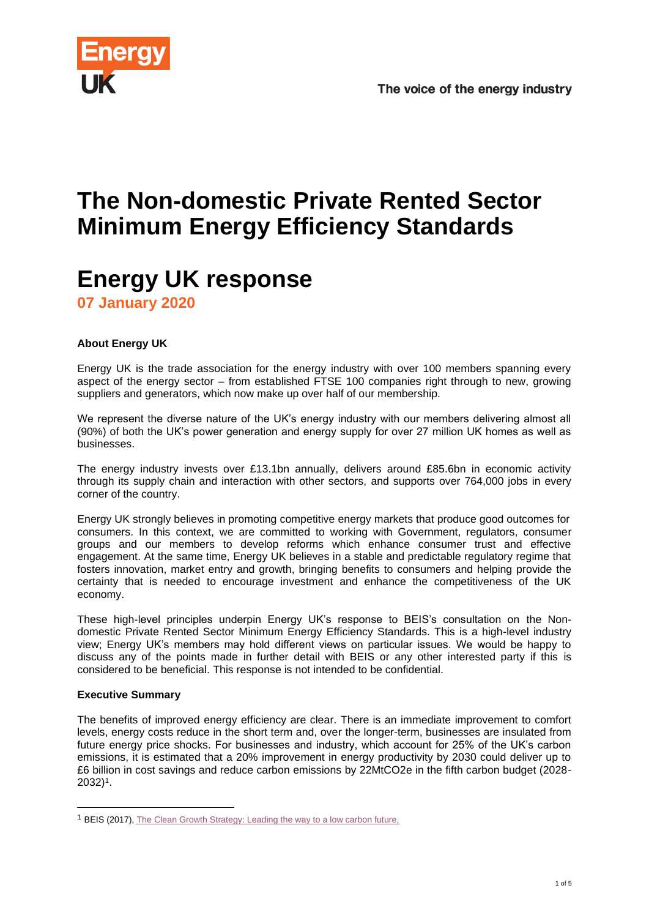

# **The Non-domestic Private Rented Sector Minimum Energy Efficiency Standards**

# **Energy UK response**

**07 January 2020**

# **About Energy UK**

Energy UK is the trade association for the energy industry with over 100 members spanning every aspect of the energy sector – from established FTSE 100 companies right through to new, growing suppliers and generators, which now make up over half of our membership.

We represent the diverse nature of the UK's energy industry with our members delivering almost all (90%) of both the UK's power generation and energy supply for over 27 million UK homes as well as businesses.

The energy industry invests over £13.1bn annually, delivers around £85.6bn in economic activity through its supply chain and interaction with other sectors, and supports over 764,000 jobs in every corner of the country.

Energy UK strongly believes in promoting competitive energy markets that produce good outcomes for consumers. In this context, we are committed to working with Government, regulators, consumer groups and our members to develop reforms which enhance consumer trust and effective engagement. At the same time, Energy UK believes in a stable and predictable regulatory regime that fosters innovation, market entry and growth, bringing benefits to consumers and helping provide the certainty that is needed to encourage investment and enhance the competitiveness of the UK economy.

These high-level principles underpin Energy UK's response to BEIS's consultation on the Nondomestic Private Rented Sector Minimum Energy Efficiency Standards. This is a high-level industry view; Energy UK's members may hold different views on particular issues. We would be happy to discuss any of the points made in further detail with BEIS or any other interested party if this is considered to be beneficial. This response is not intended to be confidential.

# **Executive Summary**

The benefits of improved energy efficiency are clear. There is an immediate improvement to comfort levels, energy costs reduce in the short term and, over the longer-term, businesses are insulated from future energy price shocks. For businesses and industry, which account for 25% of the UK's carbon emissions, it is estimated that a 20% improvement in energy productivity by 2030 could deliver up to £6 billion in cost savings and reduce carbon emissions by 22MtCO2e in the fifth carbon budget (2028- 2032)<sup>1</sup> .

<sup>&</sup>lt;sup>1</sup> BEIS (2017)[, The Clean Growth Strategy: Leading the way to a low carbon future,](https://www.gov.uk/government/publications/clean-growth-strategy)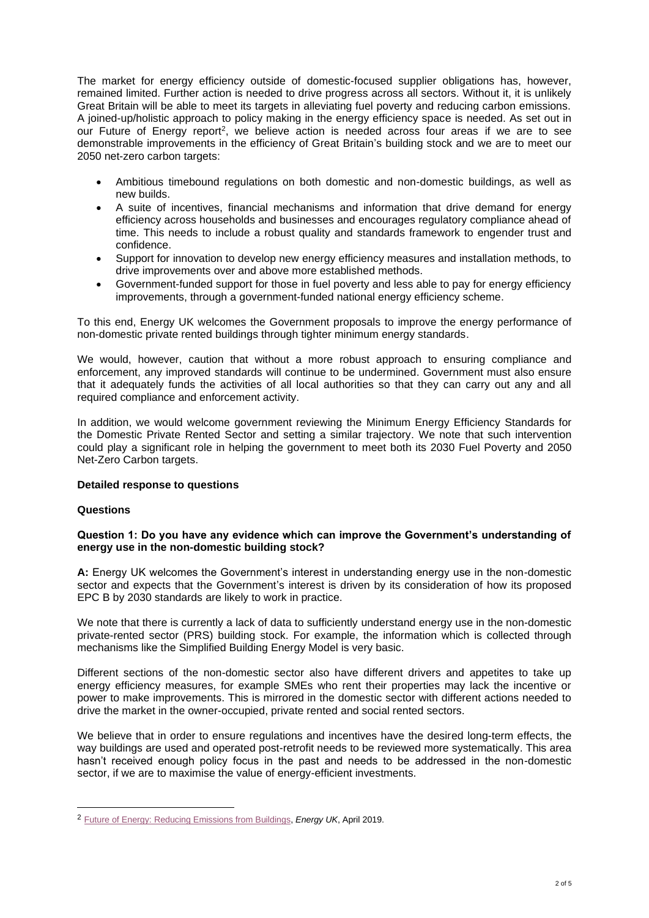The market for energy efficiency outside of domestic-focused supplier obligations has, however, remained limited. Further action is needed to drive progress across all sectors. Without it, it is unlikely Great Britain will be able to meet its targets in alleviating fuel poverty and reducing carbon emissions. A joined-up/holistic approach to policy making in the energy efficiency space is needed. As set out in our Future of Energy report<sup>2</sup>, we believe action is needed across four areas if we are to see demonstrable improvements in the efficiency of Great Britain's building stock and we are to meet our 2050 net-zero carbon targets:

- Ambitious timebound regulations on both domestic and non-domestic buildings, as well as new builds.
- A suite of incentives, financial mechanisms and information that drive demand for energy efficiency across households and businesses and encourages regulatory compliance ahead of time. This needs to include a robust quality and standards framework to engender trust and confidence.
- Support for innovation to develop new energy efficiency measures and installation methods, to drive improvements over and above more established methods.
- Government-funded support for those in fuel poverty and less able to pay for energy efficiency improvements, through a government-funded national energy efficiency scheme.

To this end, Energy UK welcomes the Government proposals to improve the energy performance of non-domestic private rented buildings through tighter minimum energy standards.

We would, however, caution that without a more robust approach to ensuring compliance and enforcement, any improved standards will continue to be undermined. Government must also ensure that it adequately funds the activities of all local authorities so that they can carry out any and all required compliance and enforcement activity.

In addition, we would welcome government reviewing the Minimum Energy Efficiency Standards for the Domestic Private Rented Sector and setting a similar trajectory. We note that such intervention could play a significant role in helping the government to meet both its 2030 Fuel Poverty and 2050 Net-Zero Carbon targets.

# **Detailed response to questions**

#### **Questions**

#### **Question 1: Do you have any evidence which can improve the Government's understanding of energy use in the non-domestic building stock?**

**A:** Energy UK welcomes the Government's interest in understanding energy use in the non-domestic sector and expects that the Government's interest is driven by its consideration of how its proposed EPC B by 2030 standards are likely to work in practice.

We note that there is currently a lack of data to sufficiently understand energy use in the non-domestic private-rented sector (PRS) building stock. For example, the information which is collected through mechanisms like the Simplified Building Energy Model is very basic.

Different sections of the non-domestic sector also have different drivers and appetites to take up energy efficiency measures, for example SMEs who rent their properties may lack the incentive or power to make improvements. This is mirrored in the domestic sector with different actions needed to drive the market in the owner-occupied, private rented and social rented sectors.

We believe that in order to ensure regulations and incentives have the desired long-term effects, the way buildings are used and operated post-retrofit needs to be reviewed more systematically. This area hasn't received enough policy focus in the past and needs to be addressed in the non-domestic sector, if we are to maximise the value of energy-efficient investments.

<sup>2</sup> [Future of Energy: Reducing Emissions from Buildings,](https://www.energy-uk.org.uk/files/docs/The_Future_of_Energy/2019/FutureofEnergy_ReportSection_Chapter3_PartA&B_04.19.pdf) *Energy UK*, April 2019.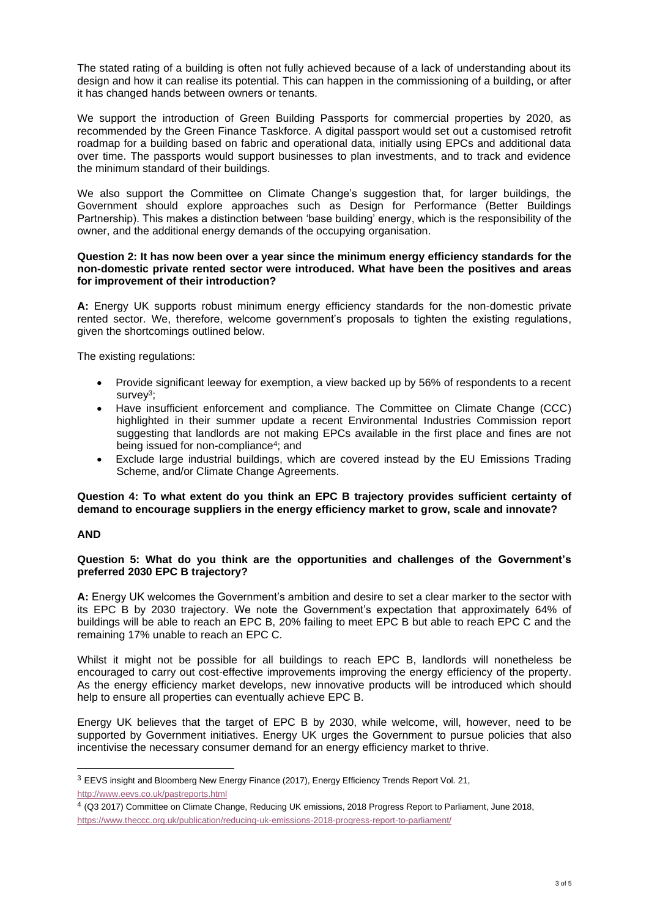The stated rating of a building is often not fully achieved because of a lack of understanding about its design and how it can realise its potential. This can happen in the commissioning of a building, or after it has changed hands between owners or tenants.

We support the introduction of Green Building Passports for commercial properties by 2020, as recommended by the Green Finance Taskforce. A digital passport would set out a customised retrofit roadmap for a building based on fabric and operational data, initially using EPCs and additional data over time. The passports would support businesses to plan investments, and to track and evidence the minimum standard of their buildings.

We also support the Committee on Climate Change's suggestion that, for larger buildings, the Government should explore approaches such as Design for Performance (Better Buildings Partnership). This makes a distinction between 'base building' energy, which is the responsibility of the owner, and the additional energy demands of the occupying organisation.

#### **Question 2: It has now been over a year since the minimum energy efficiency standards for the non-domestic private rented sector were introduced. What have been the positives and areas for improvement of their introduction?**

**A:** Energy UK supports robust minimum energy efficiency standards for the non-domestic private rented sector. We, therefore, welcome government's proposals to tighten the existing regulations, given the shortcomings outlined below.

The existing regulations:

- Provide significant leeway for exemption, a view backed up by 56% of respondents to a recent survey<sup>3</sup>;
- Have insufficient enforcement and compliance. The Committee on Climate Change (CCC) highlighted in their summer update a recent Environmental Industries Commission report suggesting that landlords are not making EPCs available in the first place and fines are not being issued for non-compliance<sup>4</sup>; and
- Exclude large industrial buildings, which are covered instead by the EU Emissions Trading Scheme, and/or Climate Change Agreements.

#### **Question 4: To what extent do you think an EPC B trajectory provides sufficient certainty of demand to encourage suppliers in the energy efficiency market to grow, scale and innovate?**

# **AND**

#### **Question 5: What do you think are the opportunities and challenges of the Government's preferred 2030 EPC B trajectory?**

**A:** Energy UK welcomes the Government's ambition and desire to set a clear marker to the sector with its EPC B by 2030 trajectory. We note the Government's expectation that approximately 64% of buildings will be able to reach an EPC B, 20% failing to meet EPC B but able to reach EPC C and the remaining 17% unable to reach an EPC C.

Whilst it might not be possible for all buildings to reach EPC B, landlords will nonetheless be encouraged to carry out cost-effective improvements improving the energy efficiency of the property. As the energy efficiency market develops, new innovative products will be introduced which should help to ensure all properties can eventually achieve EPC B.

Energy UK believes that the target of EPC B by 2030, while welcome, will, however, need to be supported by Government initiatives. Energy UK urges the Government to pursue policies that also incentivise the necessary consumer demand for an energy efficiency market to thrive.

<sup>&</sup>lt;sup>3</sup> EEVS insight and Bloomberg New Energy Finance (2017), Energy Efficiency Trends Report Vol. 21, <http://www.eevs.co.uk/pastreports.html>

<sup>4</sup> (Q3 2017) Committee on Climate Change, Reducing UK emissions, 2018 Progress Report to Parliament, June 2018, <https://www.theccc.org.uk/publication/reducing-uk-emissions-2018-progress-report-to-parliament/>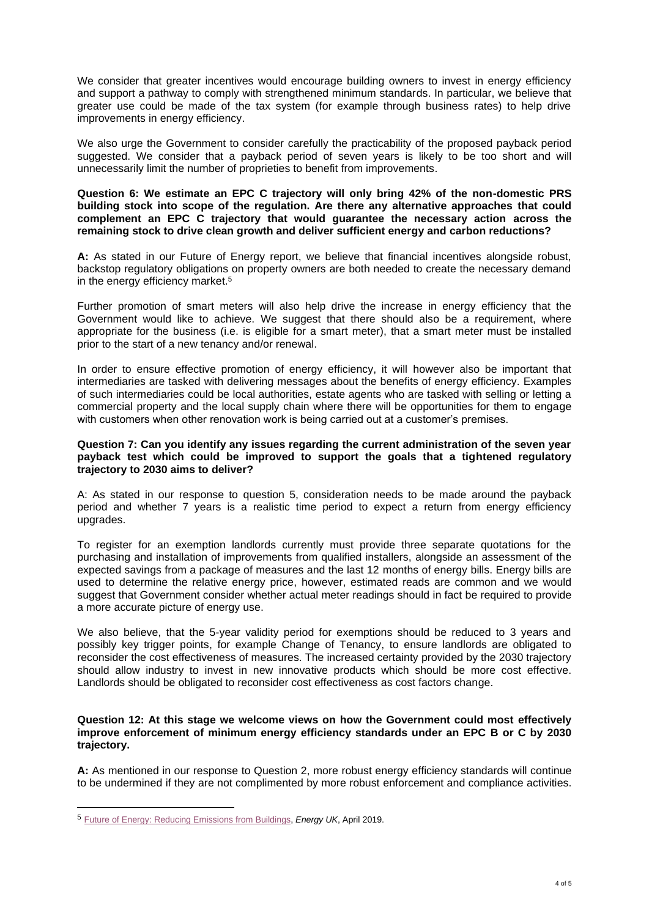We consider that greater incentives would encourage building owners to invest in energy efficiency and support a pathway to comply with strengthened minimum standards. In particular, we believe that greater use could be made of the tax system (for example through business rates) to help drive improvements in energy efficiency.

We also urge the Government to consider carefully the practicability of the proposed payback period suggested. We consider that a payback period of seven years is likely to be too short and will unnecessarily limit the number of proprieties to benefit from improvements.

#### **Question 6: We estimate an EPC C trajectory will only bring 42% of the non-domestic PRS building stock into scope of the regulation. Are there any alternative approaches that could complement an EPC C trajectory that would guarantee the necessary action across the remaining stock to drive clean growth and deliver sufficient energy and carbon reductions?**

**A:** As stated in our Future of Energy report, we believe that financial incentives alongside robust, backstop regulatory obligations on property owners are both needed to create the necessary demand in the energy efficiency market.<sup>5</sup>

Further promotion of smart meters will also help drive the increase in energy efficiency that the Government would like to achieve. We suggest that there should also be a requirement, where appropriate for the business (i.e. is eligible for a smart meter), that a smart meter must be installed prior to the start of a new tenancy and/or renewal.

In order to ensure effective promotion of energy efficiency, it will however also be important that intermediaries are tasked with delivering messages about the benefits of energy efficiency. Examples of such intermediaries could be local authorities, estate agents who are tasked with selling or letting a commercial property and the local supply chain where there will be opportunities for them to engage with customers when other renovation work is being carried out at a customer's premises.

#### **Question 7: Can you identify any issues regarding the current administration of the seven year payback test which could be improved to support the goals that a tightened regulatory trajectory to 2030 aims to deliver?**

A: As stated in our response to question 5, consideration needs to be made around the payback period and whether 7 years is a realistic time period to expect a return from energy efficiency upgrades.

To register for an exemption landlords currently must provide three separate quotations for the purchasing and installation of improvements from qualified installers, alongside an assessment of the expected savings from a package of measures and the last 12 months of energy bills. Energy bills are used to determine the relative energy price, however, estimated reads are common and we would suggest that Government consider whether actual meter readings should in fact be required to provide a more accurate picture of energy use.

We also believe, that the 5-year validity period for exemptions should be reduced to 3 years and possibly key trigger points, for example Change of Tenancy, to ensure landlords are obligated to reconsider the cost effectiveness of measures. The increased certainty provided by the 2030 trajectory should allow industry to invest in new innovative products which should be more cost effective. Landlords should be obligated to reconsider cost effectiveness as cost factors change.

#### **Question 12: At this stage we welcome views on how the Government could most effectively improve enforcement of minimum energy efficiency standards under an EPC B or C by 2030 trajectory.**

**A:** As mentioned in our response to Question 2, more robust energy efficiency standards will continue to be undermined if they are not complimented by more robust enforcement and compliance activities.

<sup>5</sup> [Future of Energy: Reducing Emissions from Buildings,](https://www.energy-uk.org.uk/files/docs/The_Future_of_Energy/2019/FutureofEnergy_ReportSection_Chapter3_PartA&B_04.19.pdf) *Energy UK*, April 2019.